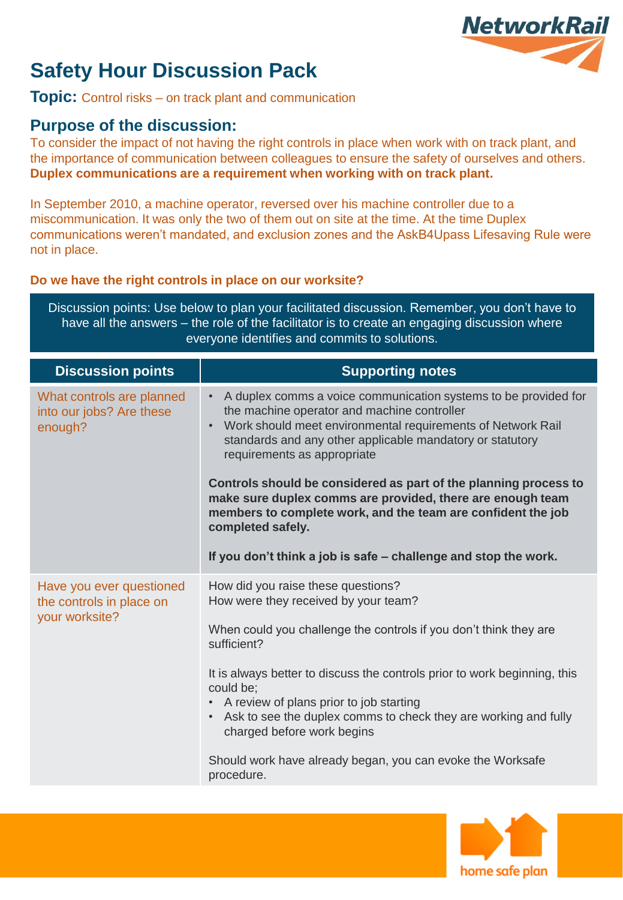

## **Safety Hour Discussion Pack**

**Topic:** Control risks – on track plant and communication

### **Purpose of the discussion:**

To consider the impact of not having the right controls in place when work with on track plant, and the importance of communication between colleagues to ensure the safety of ourselves and others. **Duplex communications are a requirement when working with on track plant.**

In September 2010, a machine operator, reversed over his machine controller due to a miscommunication. It was only the two of them out on site at the time. At the time Duplex communications weren't mandated, and exclusion zones and the AskB4Upass Lifesaving Rule were not in place.

#### **Do we have the right controls in place on our worksite?**

Discussion points: Use below to plan your facilitated discussion. Remember, you don't have to have all the answers – the role of the facilitator is to create an engaging discussion where everyone identifies and commits to solutions.

| <b>Discussion points</b>                                               | <b>Supporting notes</b>                                                                                                                                                                                                                                                                                                                                                                                                                                                                                                                                             |
|------------------------------------------------------------------------|---------------------------------------------------------------------------------------------------------------------------------------------------------------------------------------------------------------------------------------------------------------------------------------------------------------------------------------------------------------------------------------------------------------------------------------------------------------------------------------------------------------------------------------------------------------------|
| What controls are planned<br>into our jobs? Are these<br>enough?       | A duplex comms a voice communication systems to be provided for<br>the machine operator and machine controller<br>Work should meet environmental requirements of Network Rail<br>standards and any other applicable mandatory or statutory<br>requirements as appropriate<br>Controls should be considered as part of the planning process to<br>make sure duplex comms are provided, there are enough team<br>members to complete work, and the team are confident the job<br>completed safely.<br>If you don't think a job is safe - challenge and stop the work. |
|                                                                        |                                                                                                                                                                                                                                                                                                                                                                                                                                                                                                                                                                     |
| Have you ever questioned<br>the controls in place on<br>your worksite? | How did you raise these questions?<br>How were they received by your team?<br>When could you challenge the controls if you don't think they are<br>sufficient?                                                                                                                                                                                                                                                                                                                                                                                                      |
|                                                                        | It is always better to discuss the controls prior to work beginning, this<br>could be;<br>• A review of plans prior to job starting<br>Ask to see the duplex comms to check they are working and fully<br>charged before work begins                                                                                                                                                                                                                                                                                                                                |
|                                                                        | Should work have already began, you can evoke the Worksafe<br>procedure.                                                                                                                                                                                                                                                                                                                                                                                                                                                                                            |